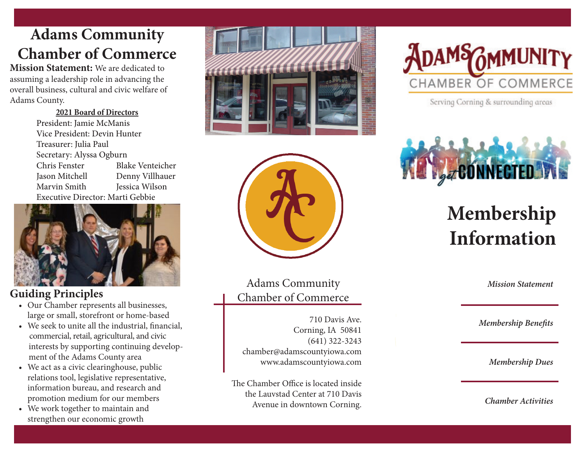## **Adams Community Chamber of Commerce**

**Mission Statement:** We are dedicated to assuming a leadership role in advancing the overall business, cultural and civic welfare of Adams County.

> **2021 Board of Directors** President: Jamie McManis Vice President: Devin Hunter Treasurer: Julia Paul Secretary: Alyssa Ogburn Chris Fenster Blake Venteicher Jason Mitchell Denny Villhauer Marvin Smith Jessica Wilson Executive Director: Marti Gebbie



### **Guiding Principles**

- Our Chamber represents all businesses, large or small, storefront or home-based
- We seek to unite all the industrial, financial, commercial, retail, agricultural, and civic interests by supporting continuing develop ment of the Adams County area<br>• We act as a civic clearinghouse, public
- relations tool, legislative representative, information bureau, and research and promotion medium for our members
- We work together to maintain and strengthen our economic growth





Adams Community Chamber of Commerce

710 Davis Ave. Corning, IA 50841 (641) 322-3243 chamber@adamscountyiowa.com www.adamscountyiowa.com

The Chamber Office is located inside the Lauvstad Center at 710 Davis Avenue in downtown Corning.



Serving Corning & surrounding areas



# **Membership Information**

*Mission Statement*

*Membership Benefits*

*Membership Dues*

*Chamber Activities*